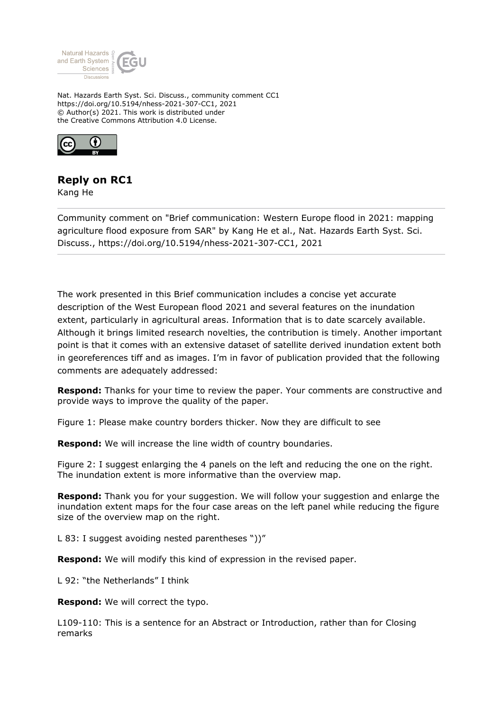

Nat. Hazards Earth Syst. Sci. Discuss., community comment CC1 https://doi.org/10.5194/nhess-2021-307-CC1, 2021 © Author(s) 2021. This work is distributed under the Creative Commons Attribution 4.0 License.



## **Reply on RC1**

Kang He

Community comment on "Brief communication: Western Europe flood in 2021: mapping agriculture flood exposure from SAR" by Kang He et al., Nat. Hazards Earth Syst. Sci. Discuss., https://doi.org/10.5194/nhess-2021-307-CC1, 2021

The work presented in this Brief communication includes a concise yet accurate description of the West European flood 2021 and several features on the inundation extent, particularly in agricultural areas. Information that is to date scarcely available. Although it brings limited research novelties, the contribution is timely. Another important point is that it comes with an extensive dataset of satellite derived inundation extent both in georeferences tiff and as images. I'm in favor of publication provided that the following comments are adequately addressed:

**Respond:** Thanks for your time to review the paper. Your comments are constructive and provide ways to improve the quality of the paper.

Figure 1: Please make country borders thicker. Now they are difficult to see

**Respond:** We will increase the line width of country boundaries.

Figure 2: I suggest enlarging the 4 panels on the left and reducing the one on the right. The inundation extent is more informative than the overview map.

**Respond:** Thank you for your suggestion. We will follow your suggestion and enlarge the inundation extent maps for the four case areas on the left panel while reducing the figure size of the overview map on the right.

L 83: I suggest avoiding nested parentheses "))"

**Respond:** We will modify this kind of expression in the revised paper.

L 92: "the Netherlands" I think

**Respond:** We will correct the typo.

L109-110: This is a sentence for an Abstract or Introduction, rather than for Closing remarks